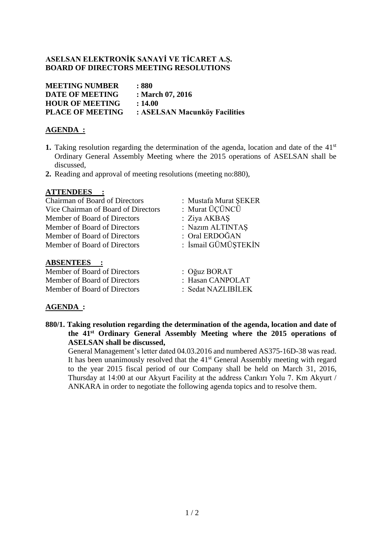### **ASELSAN ELEKTRONİK SANAYİ VE TİCARET A.Ş. BOARD OF DIRECTORS MEETING RESOLUTIONS**

| <b>MEETING NUMBER</b>   | : 880                         |
|-------------------------|-------------------------------|
| <b>DATE OF MEETING</b>  | : March 07, 2016              |
| <b>HOUR OF MEETING</b>  | : 14.00                       |
| <b>PLACE OF MEETING</b> | : ASELSAN Macunköy Facilities |
|                         |                               |

## **AGENDA :**

- 1. Taking resolution regarding the determination of the agenda, location and date of the 41<sup>st</sup> Ordinary General Assembly Meeting where the 2015 operations of ASELSAN shall be discussed,
- **2.** Reading and approval of meeting resolutions (meeting no:880),

### **ATTENDEES :**

Chairman of Board of Directors : Mustafa Murat ŞEKER Vice Chairman of Board of Directors : Murat ÜÇÜNCÜ Member of Board of Directors : Ziya AKBAS Member of Board of Directors : Nazım ALTINTAŞ Member of Board of Directors : Oral ERDOĞAN Member of Board of Directors : İsmail GÜMÜŞTEKİN

### **ABSENTEES :**

Member of Board of Directors : Oğuz BORAT Member of Board of Directors : Hasan CANPOLAT Member of Board of Directors : Sedat NAZLIBİLEK

- 
- 
- 
- 
- 
- 
- 
- 

### **AGENDA :**

**880/1. Taking resolution regarding the determination of the agenda, location and date of the 41 st Ordinary General Assembly Meeting where the 2015 operations of ASELSAN shall be discussed,**

General Management's letter dated 04.03.2016 and numbered AS375-16D-38 was read. It has been unanimously resolved that the 41<sup>st</sup> General Assembly meeting with regard to the year 2015 fiscal period of our Company shall be held on March 31, 2016, Thursday at 14:00 at our Akyurt Facility at the address Cankırı Yolu 7. Km Akyurt / ANKARA in order to negotiate the following agenda topics and to resolve them.